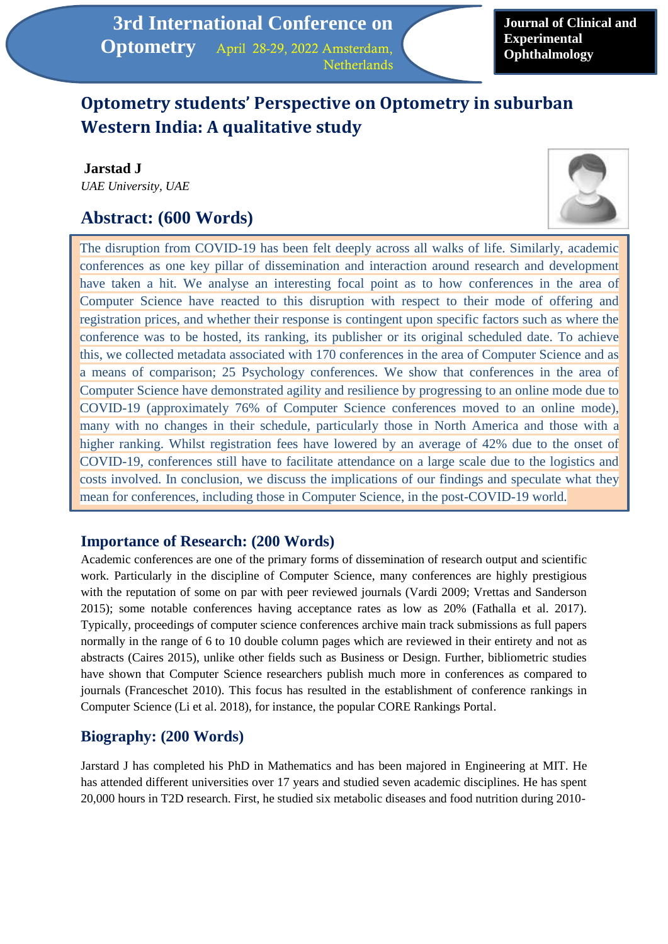# **Optometry students' Perspective on Optometry in suburban Western India: A qualitative study**

**Jarstad J** *UAE University, UAE*

# **Abstract: (600 Words)**



The disruption from COVID-19 has been felt deeply across all walks of life. Similarly, academic conferences as one key pillar of dissemination and interaction around research and development have taken a hit. We analyse an interesting focal point as to how conferences in the area of Computer Science have reacted to this disruption with respect to their mode of offering and registration prices, and whether their response is contingent upon specific factors such as where the conference was to be hosted, its ranking, its publisher or its original scheduled date. To achieve this, we collected metadata associated with 170 conferences in the area of Computer Science and as a means of comparison; 25 Psychology conferences. We show that conferences in the area of Computer Science have demonstrated agility and resilience by progressing to an online mode due to COVID-19 (approximately 76% of Computer Science conferences moved to an online mode), many with no changes in their schedule, particularly those in North America and those with a higher ranking. Whilst registration fees have lowered by an average of 42% due to the onset of COVID-19, conferences still have to facilitate attendance on a large scale due to the logistics and costs involved. In conclusion, we discuss the implications of our findings and speculate what they mean for conferences, including those in Computer Science, in the post-COVID-19 world.

#### **Importance of Research: (200 Words)**

Academic conferences are one of the primary forms of dissemination of research output and scientific work. Particularly in the discipline of Computer Science, many conferences are highly prestigious with the reputation of some on par with peer reviewed journals (Vardi 2009; Vrettas and Sanderson 2015); some notable conferences having acceptance rates as low as 20% (Fathalla et al. 2017). Typically, proceedings of computer science conferences archive main track submissions as full papers normally in the range of 6 to 10 double column pages which are reviewed in their entirety and not as abstracts (Caires 2015), unlike other fields such as Business or Design. Further, bibliometric studies have shown that Computer Science researchers publish much more in conferences as compared to journals (Franceschet 2010). This focus has resulted in the establishment of conference rankings in Computer Science (Li et al. 2018), for instance, the popular CORE Rankings Portal.

## **Biography: (200 Words)**

Jarstard J has completed his PhD in Mathematics and has been majored in Engineering at MIT. He has attended different universities over 17 years and studied seven academic disciplines. He has spent 20,000 hours in T2D research. First, he studied six metabolic diseases and food nutrition during 2010